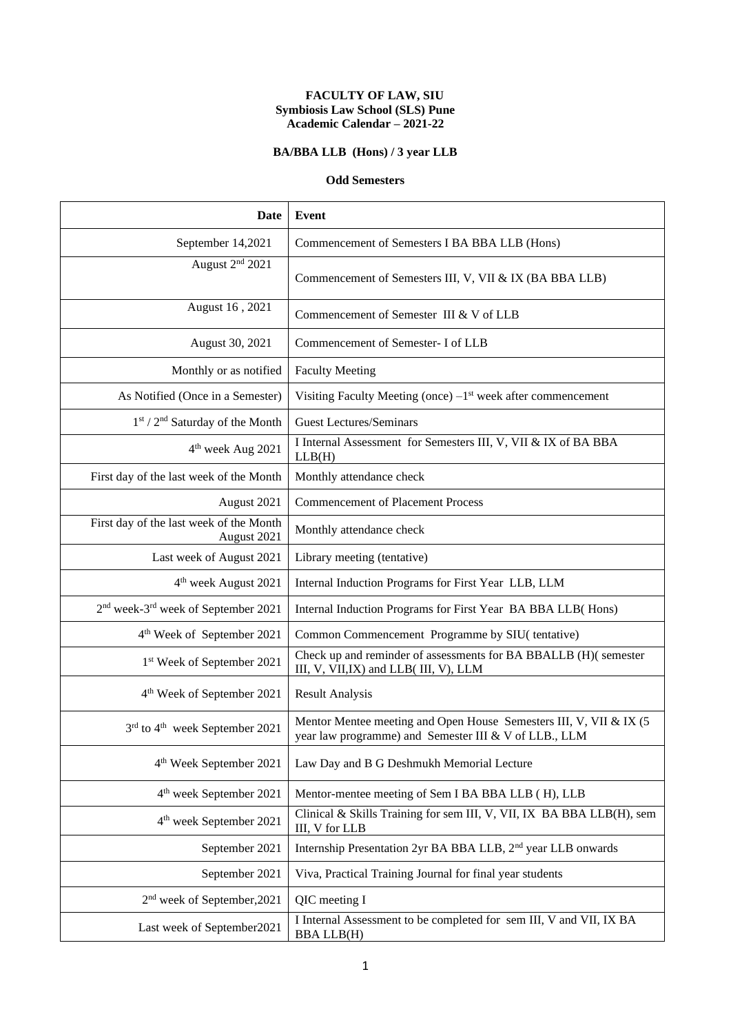#### **FACULTY OF LAW, SIU Symbiosis Law School (SLS) Pune Academic Calendar – 2021-22**

## **BA/BBA LLB (Hons) / 3 year LLB**

#### **Odd Semesters**

| Date                                                        | Event                                                                                                                       |
|-------------------------------------------------------------|-----------------------------------------------------------------------------------------------------------------------------|
| September 14,2021                                           | Commencement of Semesters I BA BBA LLB (Hons)                                                                               |
| August 2 <sup>nd</sup> 2021                                 | Commencement of Semesters III, V, VII & IX (BA BBA LLB)                                                                     |
| August 16, 2021                                             | Commencement of Semester III & V of LLB                                                                                     |
| August 30, 2021                                             | Commencement of Semester- I of LLB                                                                                          |
| Monthly or as notified                                      | <b>Faculty Meeting</b>                                                                                                      |
| As Notified (Once in a Semester)                            | Visiting Faculty Meeting (once) $-1st$ week after commencement                                                              |
| $1st / 2nd$ Saturday of the Month                           | <b>Guest Lectures/Seminars</b>                                                                                              |
| 4 <sup>th</sup> week Aug 2021                               | I Internal Assessment for Semesters III, V, VII & IX of BA BBA<br>LLB(H)                                                    |
| First day of the last week of the Month                     | Monthly attendance check                                                                                                    |
| August 2021                                                 | <b>Commencement of Placement Process</b>                                                                                    |
| First day of the last week of the Month<br>August 2021      | Monthly attendance check                                                                                                    |
| Last week of August 2021                                    | Library meeting (tentative)                                                                                                 |
| 4 <sup>th</sup> week August 2021                            | Internal Induction Programs for First Year LLB, LLM                                                                         |
| 2 <sup>nd</sup> week-3 <sup>rd</sup> week of September 2021 | Internal Induction Programs for First Year BA BBA LLB(Hons)                                                                 |
| 4 <sup>th</sup> Week of September 2021                      | Common Commencement Programme by SIU(tentative)                                                                             |
| 1 <sup>st</sup> Week of September 2021                      | Check up and reminder of assessments for BA BBALLB (H)( semester<br>III, V, VII, IX) and LLB(III, V), LLM                   |
| 4 <sup>th</sup> Week of September 2021                      | <b>Result Analysis</b>                                                                                                      |
| 3rd to 4 <sup>th</sup> week September 2021                  | Mentor Mentee meeting and Open House Semesters III, V, VII & IX (5<br>year law programme) and Semester III & V of LLB., LLM |
| 4 <sup>th</sup> Week September 2021                         | Law Day and B G Deshmukh Memorial Lecture                                                                                   |
| 4 <sup>th</sup> week September 2021                         | Mentor-mentee meeting of Sem I BA BBA LLB (H), LLB                                                                          |
| 4 <sup>th</sup> week September 2021                         | Clinical & Skills Training for sem III, V, VII, IX BA BBA LLB(H), sem<br>III, V for LLB                                     |
| September 2021                                              | Internship Presentation 2yr BA BBA LLB, 2 <sup>nd</sup> year LLB onwards                                                    |
| September 2021                                              | Viva, Practical Training Journal for final year students                                                                    |
| 2 <sup>nd</sup> week of September, 2021                     | QIC meeting I                                                                                                               |
| Last week of September2021                                  | I Internal Assessment to be completed for sem III, V and VII, IX BA<br><b>BBA LLB(H)</b>                                    |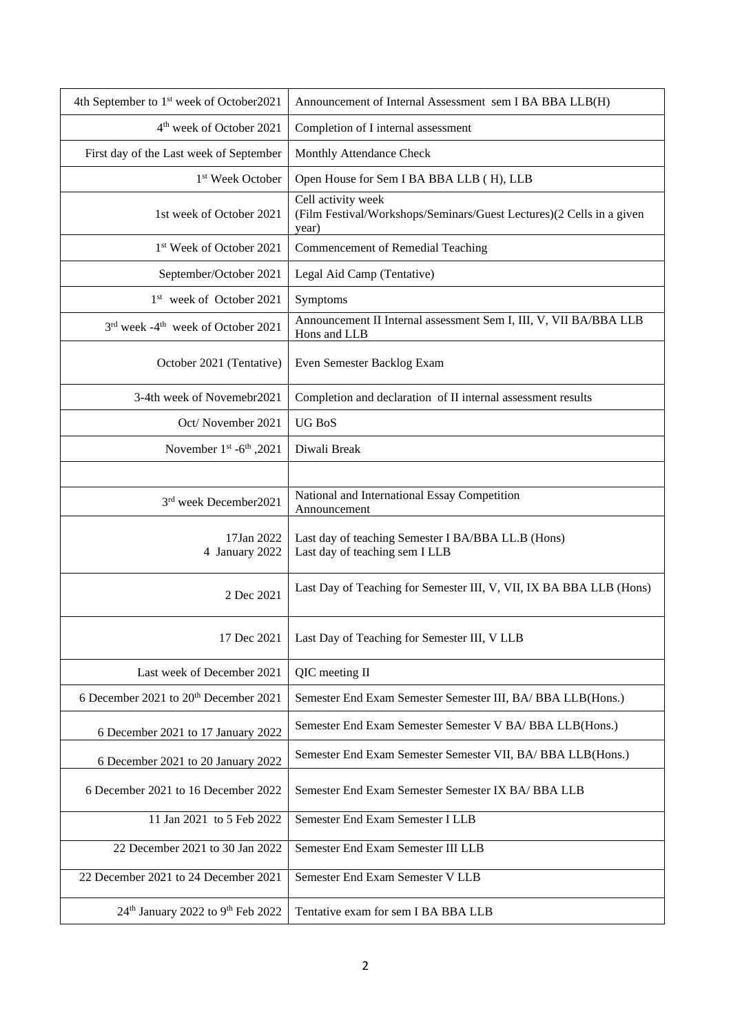| 4th September to 1 <sup>st</sup> week of October2021      | Announcement of Internal Assessment sem I BA BBA LLB(H)                                             |
|-----------------------------------------------------------|-----------------------------------------------------------------------------------------------------|
| 4 <sup>th</sup> week of October 2021                      | Completion of I internal assessment                                                                 |
| First day of the Last week of September                   | Monthly Attendance Check                                                                            |
| 1 <sup>st</sup> Week October                              | Open House for Sem I BA BBA LLB (H), LLB                                                            |
| 1st week of October 2021                                  | Cell activity week<br>(Film Festival/Workshops/Seminars/Guest Lectures)(2 Cells in a given<br>year) |
| 1 <sup>st</sup> Week of October 2021                      | Commencement of Remedial Teaching                                                                   |
| September/October 2021                                    | Legal Aid Camp (Tentative)                                                                          |
| 1 <sup>st</sup> week of October 2021                      | Symptoms                                                                                            |
| 3rd week -4 <sup>th</sup> week of October 2021            | Announcement II Internal assessment Sem I, III, V, VII BA/BBA LLB<br>Hons and LLB                   |
| October 2021 (Tentative)                                  | Even Semester Backlog Exam                                                                          |
| 3-4th week of Novemebr2021                                | Completion and declaration of II internal assessment results                                        |
| Oct/November 2021                                         | <b>UG BoS</b>                                                                                       |
| November $1st -6th$ , 2021                                | Diwali Break                                                                                        |
|                                                           |                                                                                                     |
| 3rd week December2021                                     | National and International Essay Competition<br>Announcement                                        |
| 17Jan 2022<br>4 January 2022                              | Last day of teaching Semester I BA/BBA LL.B (Hons)<br>Last day of teaching sem I LLB                |
| 2 Dec 2021                                                | Last Day of Teaching for Semester III, V, VII, IX BA BBA LLB (Hons)                                 |
| 17 Dec 2021                                               | Last Day of Teaching for Semester III, V LLB                                                        |
| Last week of December 2021                                | QIC meeting II                                                                                      |
| 6 December 2021 to 20 <sup>th</sup> December 2021         | Semester End Exam Semester Semester III, BA/ BBA LLB(Hons.)                                         |
| 6 December 2021 to 17 January 2022                        | Semester End Exam Semester Semester V BA/ BBA LLB(Hons.)                                            |
| 6 December 2021 to 20 January 2022                        | Semester End Exam Semester Semester VII, BA/ BBA LLB(Hons.)                                         |
| 6 December 2021 to 16 December 2022                       | Semester End Exam Semester Semester IX BA/ BBA LLB                                                  |
| 11 Jan 2021 to 5 Feb 2022                                 | Semester End Exam Semester I LLB                                                                    |
| 22 December 2021 to 30 Jan 2022                           | Semester End Exam Semester III LLB                                                                  |
| 22 December 2021 to 24 December 2021                      | Semester End Exam Semester V LLB                                                                    |
| 24 <sup>th</sup> January 2022 to 9 <sup>th</sup> Feb 2022 | Tentative exam for sem I BA BBA LLB                                                                 |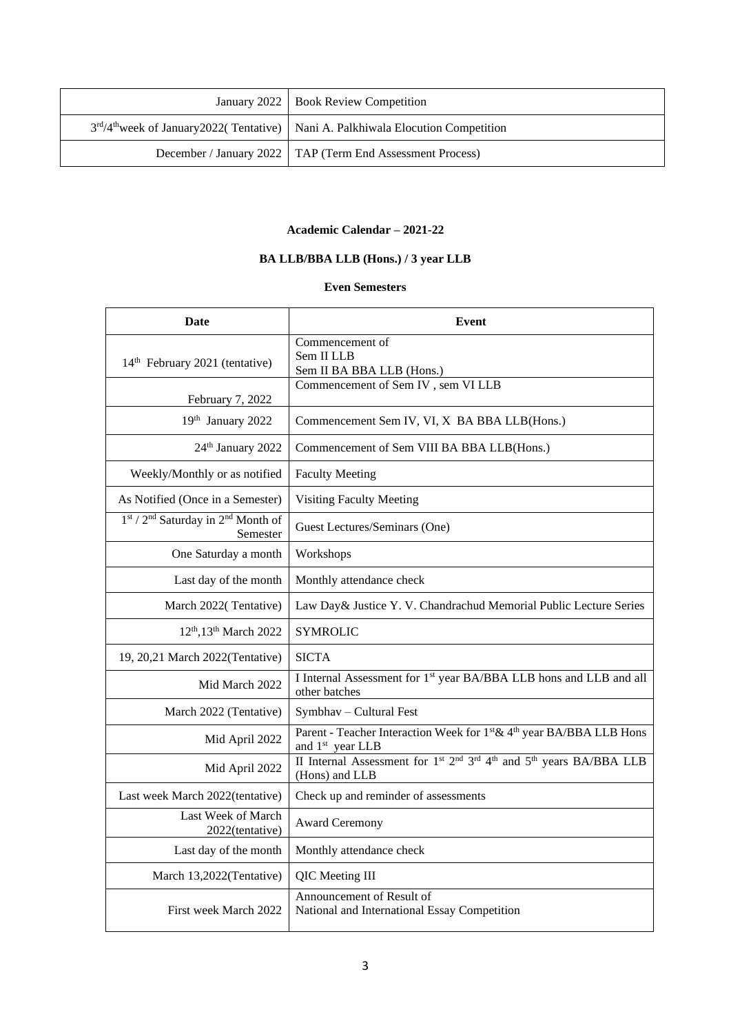| January 2022   Book Review Competition                                                        |
|-----------------------------------------------------------------------------------------------|
| 3rd/4 <sup>th</sup> week of January2022(Tentative)   Nani A. Palkhiwala Elocution Competition |
| December / January 2022   TAP (Term End Assessment Process)                                   |

### **Academic Calendar – 2021-22**

# **BA LLB/BBA LLB (Hons.) / 3 year LLB**

#### **Even Semesters**

| Date                                                                   | Event                                                                                                                                             |
|------------------------------------------------------------------------|---------------------------------------------------------------------------------------------------------------------------------------------------|
| 14 <sup>th</sup> February 2021 (tentative)                             | Commencement of<br>Sem II LLB<br>Sem II BA BBA LLB (Hons.)                                                                                        |
| February 7, 2022                                                       | Commencement of Sem IV, sem VI LLB                                                                                                                |
| 19th January 2022                                                      | Commencement Sem IV, VI, X BA BBA LLB(Hons.)                                                                                                      |
| 24th January 2022                                                      | Commencement of Sem VIII BA BBA LLB(Hons.)                                                                                                        |
| Weekly/Monthly or as notified                                          | <b>Faculty Meeting</b>                                                                                                                            |
| As Notified (Once in a Semester)                                       | <b>Visiting Faculty Meeting</b>                                                                                                                   |
| 1st / 2 <sup>nd</sup> Saturday in 2 <sup>nd</sup> Month of<br>Semester | Guest Lectures/Seminars (One)                                                                                                                     |
| One Saturday a month                                                   | Workshops                                                                                                                                         |
| Last day of the month                                                  | Monthly attendance check                                                                                                                          |
| March 2022(Tentative)                                                  | Law Day& Justice Y. V. Chandrachud Memorial Public Lecture Series                                                                                 |
| 12 <sup>th</sup> , 13 <sup>th</sup> March 2022                         | <b>SYMROLIC</b>                                                                                                                                   |
| 19, 20,21 March 2022(Tentative)                                        | <b>SICTA</b>                                                                                                                                      |
| Mid March 2022                                                         | I Internal Assessment for 1 <sup>st</sup> year BA/BBA LLB hons and LLB and all<br>other batches                                                   |
| March 2022 (Tentative)                                                 | Symbhav - Cultural Fest                                                                                                                           |
| Mid April 2022                                                         | Parent - Teacher Interaction Week for 1st & 4th year BA/BBA LLB Hons<br>and 1 <sup>st</sup> year LLB                                              |
| Mid April 2022                                                         | II Internal Assessment for 1 <sup>st</sup> 2 <sup>nd</sup> 3 <sup>rd</sup> 4 <sup>th</sup> and 5 <sup>th</sup> years BA/BBA LLB<br>(Hons) and LLB |
| Last week March 2022(tentative)                                        | Check up and reminder of assessments                                                                                                              |
| Last Week of March<br>2022(tentative)                                  | <b>Award Ceremony</b>                                                                                                                             |
| Last day of the month                                                  | Monthly attendance check                                                                                                                          |
| March 13,2022(Tentative)                                               | QIC Meeting III                                                                                                                                   |
| First week March 2022                                                  | Announcement of Result of<br>National and International Essay Competition                                                                         |